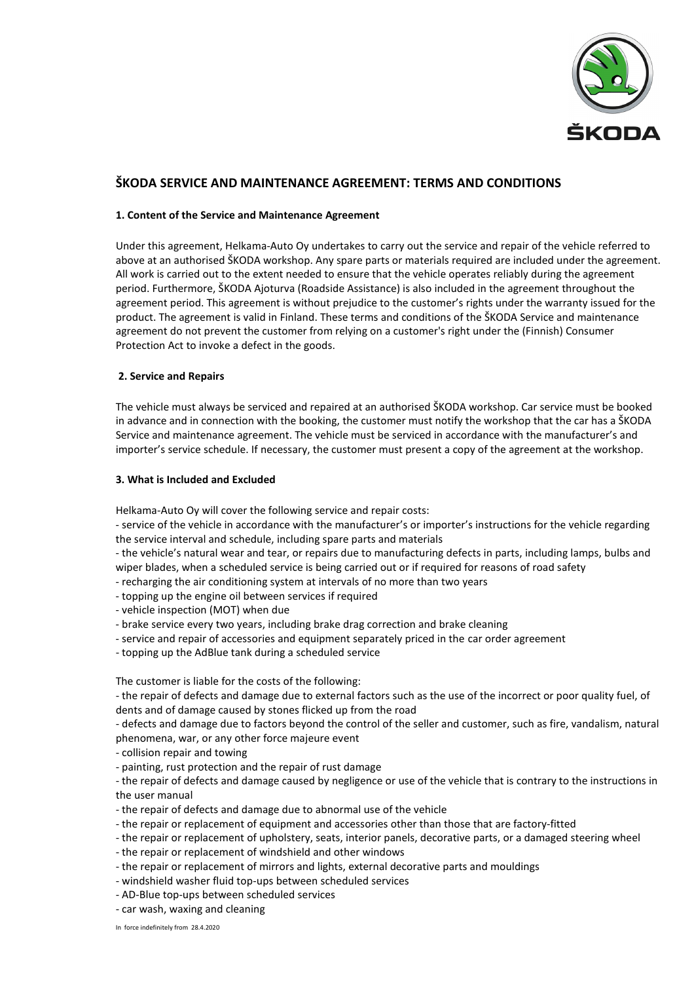

# **ŠKODA SERVICE AND MAINTENANCE AGREEMENT: TERMS AND CONDITIONS**

### **1. Content of the Service and Maintenance Agreement**

Under this agreement, Helkama-Auto Oy undertakes to carry out the service and repair of the vehicle referred to above at an authorised ŠKODA workshop. Any spare parts or materials required are included under the agreement. All work is carried out to the extent needed to ensure that the vehicle operates reliably during the agreement period. Furthermore, ŠKODA Ajoturva (Roadside Assistance) is also included in the agreement throughout the agreement period. This agreement is without prejudice to the customer's rights under the warranty issued for the product. The agreement is valid in Finland. These terms and conditions of the ŠKODA Service and maintenance agreement do not prevent the customer from relying on a customer's right under the (Finnish) Consumer Protection Act to invoke a defect in the goods.

# **2. Service and Repairs**

The vehicle must always be serviced and repaired at an authorised ŠKODA workshop. Car service must be booked in advance and in connection with the booking, the customer must notify the workshop that the car has a ŠKODA Service and maintenance agreement. The vehicle must be serviced in accordance with the manufacturer's and importer's service schedule. If necessary, the customer must present a copy of the agreement at the workshop.

#### **3. What is Included and Excluded**

Helkama-Auto Oy will cover the following service and repair costs:

- service of the vehicle in accordance with the manufacturer's or importer's instructions for the vehicle regarding the service interval and schedule, including spare parts and materials

- the vehicle's natural wear and tear, or repairs due to manufacturing defects in parts, including lamps, bulbs and wiper blades, when a scheduled service is being carried out or if required for reasons of road safety

- recharging the air conditioning system at intervals of no more than two years

- topping up the engine oil between services if required

- vehicle inspection (MOT) when due
- brake service every two years, including brake drag correction and brake cleaning
- service and repair of accessories and equipment separately priced in the car order agreement
- topping up the AdBlue tank during a scheduled service

The customer is liable for the costs of the following:

- the repair of defects and damage due to external factors such as the use of the incorrect or poor quality fuel, of dents and of damage caused by stones flicked up from the road

- defects and damage due to factors beyond the control of the seller and customer, such as fire, vandalism, natural phenomena, war, or any other force majeure event

- collision repair and towing

- painting, rust protection and the repair of rust damage

- the repair of defects and damage caused by negligence or use of the vehicle that is contrary to the instructions in the user manual

- the repair of defects and damage due to abnormal use of the vehicle
- the repair or replacement of equipment and accessories other than those that are factory-fitted
- the repair or replacement of upholstery, seats, interior panels, decorative parts, or a damaged steering wheel
- the repair or replacement of windshield and other windows
- the repair or replacement of mirrors and lights, external decorative parts and mouldings
- windshield washer fluid top-ups between scheduled services
- AD-Blue top-ups between scheduled services
- car wash, waxing and cleaning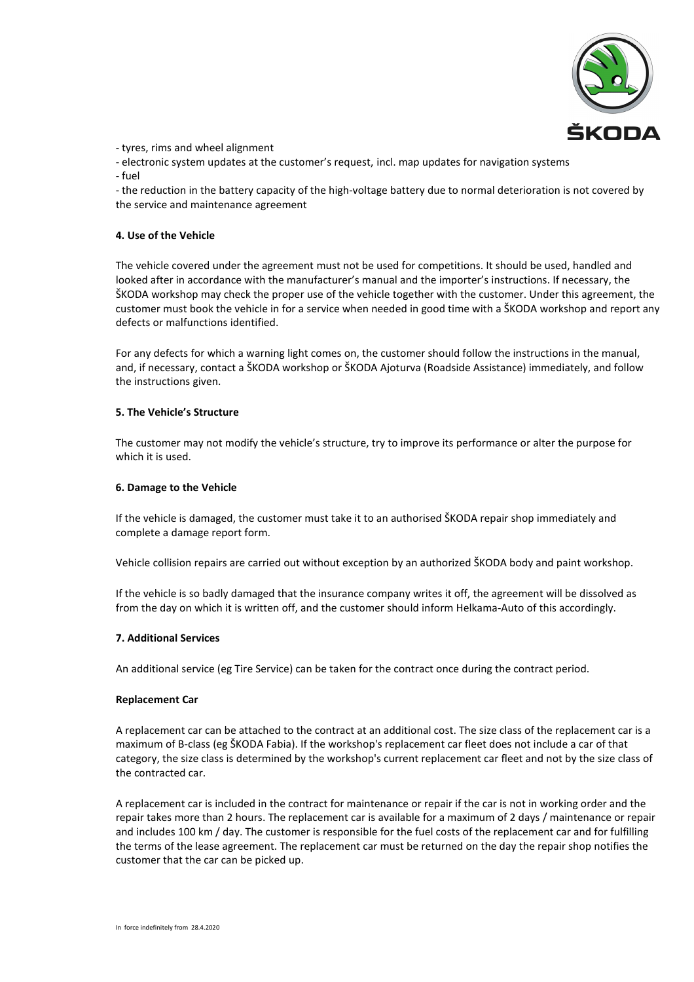

- tyres, rims and wheel alignment

- electronic system updates at the customer's request, incl. map updates for navigation systems - fuel

- the reduction in the battery capacity of the high-voltage battery due to normal deterioration is not covered by the service and maintenance agreement

# **4. Use of the Vehicle**

The vehicle covered under the agreement must not be used for competitions. It should be used, handled and looked after in accordance with the manufacturer's manual and the importer's instructions. If necessary, the ŠKODA workshop may check the proper use of the vehicle together with the customer. Under this agreement, the customer must book the vehicle in for a service when needed in good time with a ŠKODA workshop and report any defects or malfunctions identified.

For any defects for which a warning light comes on, the customer should follow the instructions in the manual, and, if necessary, contact a ŠKODA workshop or ŠKODA Ajoturva (Roadside Assistance) immediately, and follow the instructions given.

# **5. The Vehicle's Structure**

The customer may not modify the vehicle's structure, try to improve its performance or alter the purpose for which it is used.

### **6. Damage to the Vehicle**

If the vehicle is damaged, the customer must take it to an authorised ŠKODA repair shop immediately and complete a damage report form.

Vehicle collision repairs are carried out without exception by an authorized ŠKODA body and paint workshop.

If the vehicle is so badly damaged that the insurance company writes it off, the agreement will be dissolved as from the day on which it is written off, and the customer should inform Helkama-Auto of this accordingly.

# **7. Additional Services**

An additional service (eg Tire Service) can be taken for the contract once during the contract period.

#### **Replacement Car**

A replacement car can be attached to the contract at an additional cost. The size class of the replacement car is a maximum of B-class (eg ŠKODA Fabia). If the workshop's replacement car fleet does not include a car of that category, the size class is determined by the workshop's current replacement car fleet and not by the size class of the contracted car.

A replacement car is included in the contract for maintenance or repair if the car is not in working order and the repair takes more than 2 hours. The replacement car is available for a maximum of 2 days / maintenance or repair and includes 100 km / day. The customer is responsible for the fuel costs of the replacement car and for fulfilling the terms of the lease agreement. The replacement car must be returned on the day the repair shop notifies the customer that the car can be picked up.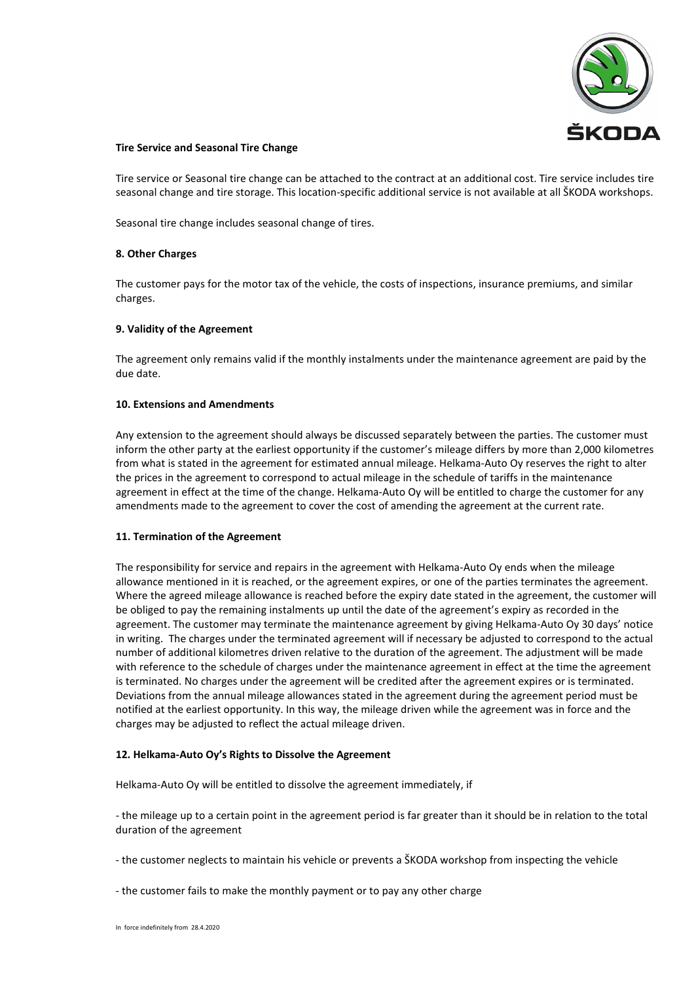

### **Tire Service and Seasonal Tire Change**

Tire service or Seasonal tire change can be attached to the contract at an additional cost. Tire service includes tire seasonal change and tire storage. This location-specific additional service is not available at all ŠKODA workshops.

Seasonal tire change includes seasonal change of tires.

### **8. Other Charges**

The customer pays for the motor tax of the vehicle, the costs of inspections, insurance premiums, and similar charges.

### **9. Validity of the Agreement**

The agreement only remains valid if the monthly instalments under the maintenance agreement are paid by the due date.

### **10. Extensions and Amendments**

Any extension to the agreement should always be discussed separately between the parties. The customer must inform the other party at the earliest opportunity if the customer's mileage differs by more than 2,000 kilometres from what is stated in the agreement for estimated annual mileage. Helkama-Auto Oy reserves the right to alter the prices in the agreement to correspond to actual mileage in the schedule of tariffs in the maintenance agreement in effect at the time of the change. Helkama-Auto Oy will be entitled to charge the customer for any amendments made to the agreement to cover the cost of amending the agreement at the current rate.

#### **11. Termination of the Agreement**

The responsibility for service and repairs in the agreement with Helkama-Auto Oy ends when the mileage allowance mentioned in it is reached, or the agreement expires, or one of the parties terminates the agreement. Where the agreed mileage allowance is reached before the expiry date stated in the agreement, the customer will be obliged to pay the remaining instalments up until the date of the agreement's expiry as recorded in the agreement. The customer may terminate the maintenance agreement by giving Helkama-Auto Oy 30 days' notice in writing. The charges under the terminated agreement will if necessary be adjusted to correspond to the actual number of additional kilometres driven relative to the duration of the agreement. The adjustment will be made with reference to the schedule of charges under the maintenance agreement in effect at the time the agreement is terminated. No charges under the agreement will be credited after the agreement expires or is terminated. Deviations from the annual mileage allowances stated in the agreement during the agreement period must be notified at the earliest opportunity. In this way, the mileage driven while the agreement was in force and the charges may be adjusted to reflect the actual mileage driven.

#### **12. Helkama-Auto Oy's Rights to Dissolve the Agreement**

Helkama-Auto Oy will be entitled to dissolve the agreement immediately, if

- the mileage up to a certain point in the agreement period is far greater than it should be in relation to the total duration of the agreement

- the customer neglects to maintain his vehicle or prevents a ŠKODA workshop from inspecting the vehicle

- the customer fails to make the monthly payment or to pay any other charge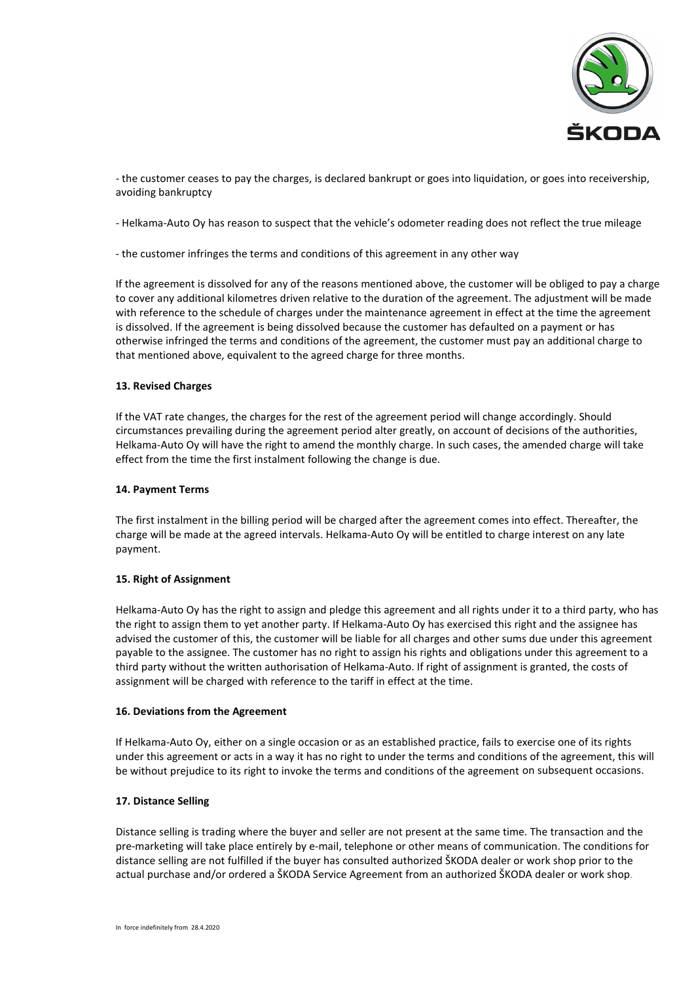

- the customer ceases to pay the charges, is declared bankrupt or goes into liquidation, or goes into receivership, avoiding bankruptcy

- Helkama-Auto Oy has reason to suspect that the vehicle's odometer reading does not reflect the true mileage

- the customer infringes the terms and conditions of this agreement in any other way

If the agreement is dissolved for any of the reasons mentioned above, the customer will be obliged to pay a charge to cover any additional kilometres driven relative to the duration of the agreement. The adjustment will be made with reference to the schedule of charges under the maintenance agreement in effect at the time the agreement is dissolved. If the agreement is being dissolved because the customer has defaulted on a payment or has otherwise infringed the terms and conditions of the agreement, the customer must pay an additional charge to that mentioned above, equivalent to the agreed charge for three months.

# **13. Revised Charges**

If the VAT rate changes, the charges for the rest of the agreement period will change accordingly. Should circumstances prevailing during the agreement period alter greatly, on account of decisions of the authorities, Helkama-Auto Oy will have the right to amend the monthly charge. In such cases, the amended charge will take effect from the time the first instalment following the change is due.

### **14. Payment Terms**

The first instalment in the billing period will be charged after the agreement comes into effect. Thereafter, the charge will be made at the agreed intervals. Helkama-Auto Oy will be entitled to charge interest on any late payment.

# **15. Right of Assignment**

Helkama-Auto Oy has the right to assign and pledge this agreement and all rights under it to a third party, who has the right to assign them to yet another party. If Helkama-Auto Oy has exercised this right and the assignee has advised the customer of this, the customer will be liable for all charges and other sums due under this agreement payable to the assignee. The customer has no right to assign his rights and obligations under this agreement to a third party without the written authorisation of Helkama-Auto. If right of assignment is granted, the costs of assignment will be charged with reference to the tariff in effect at the time.

#### **16. Deviations from the Agreement**

If Helkama-Auto Oy, either on a single occasion or as an established practice, fails to exercise one of its rights under this agreement or acts in a way it has no right to under the terms and conditions of the agreement, this will be without prejudice to its right to invoke the terms and conditions of the agreement on subsequent occasions.

# **17. Distance Selling**

Distance selling is trading where the buyer and seller are not present at the same time. The transaction and the pre-marketing will take place entirely by e-mail, telephone or other means of communication. The conditions for distance selling are not fulfilled if the buyer has consulted authorized ŠKODA dealer or work shop prior to the actual purchase and/or ordered a ŠKODA Service Agreement from an authorized ŠKODA dealer or work shop.